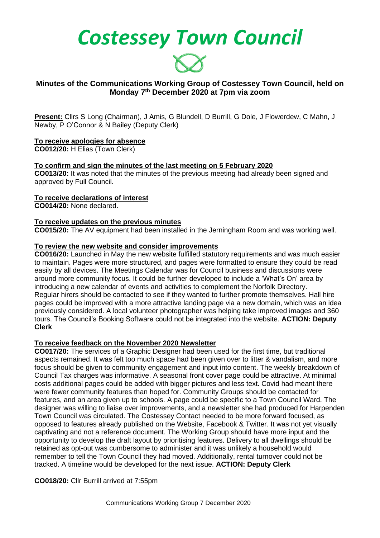*Costessey Town Council*



## **Minutes of the Communications Working Group of Costessey Town Council, held on Monday 7th December 2020 at 7pm via zoom**

**Present:** Cllrs S Long (Chairman), J Amis, G Blundell, D Burrill, G Dole, J Flowerdew, C Mahn, J Newby, P O'Connor & N Bailey (Deputy Clerk)

## **To receive apologies for absence**

**CO012/20:** H Elias (Town Clerk)

## **To confirm and sign the minutes of the last meeting on 5 February 2020**

**CO013/20:** It was noted that the minutes of the previous meeting had already been signed and approved by Full Council.

# **To receive declarations of interest**

**CO014/20:** None declared.

## **To receive updates on the previous minutes**

**CO015/20:** The AV equipment had been installed in the Jerningham Room and was working well.

## **To review the new website and consider improvements**

**CO016/20:** Launched in May the new website fulfilled statutory requirements and was much easier to maintain. Pages were more structured, and pages were formatted to ensure they could be read easily by all devices. The Meetings Calendar was for Council business and discussions were around more community focus. It could be further developed to include a 'What's On' area by introducing a new calendar of events and activities to complement the Norfolk Directory. Regular hirers should be contacted to see if they wanted to further promote themselves. Hall hire pages could be improved with a more attractive landing page via a new domain, which was an idea previously considered. A local volunteer photographer was helping take improved images and 360 tours. The Council's Booking Software could not be integrated into the website. **ACTION: Deputy Clerk**

#### **To receive feedback on the November 2020 Newsletter**

**CO017/20:** The services of a Graphic Designer had been used for the first time, but traditional aspects remained. It was felt too much space had been given over to litter & vandalism, and more focus should be given to community engagement and input into content. The weekly breakdown of Council Tax charges was informative. A seasonal front cover page could be attractive. At minimal costs additional pages could be added with bigger pictures and less text. Covid had meant there were fewer community features than hoped for. Community Groups should be contacted for features, and an area given up to schools. A page could be specific to a Town Council Ward. The designer was willing to liaise over improvements, and a newsletter she had produced for Harpenden Town Council was circulated. The Costessey Contact needed to be more forward focused, as opposed to features already published on the Website, Facebook & Twitter. It was not yet visually captivating and not a reference document. The Working Group should have more input and the opportunity to develop the draft layout by prioritising features. Delivery to all dwellings should be retained as opt-out was cumbersome to administer and it was unlikely a household would remember to tell the Town Council they had moved. Additionally, rental turnover could not be tracked. A timeline would be developed for the next issue. **ACTION: Deputy Clerk**

#### **CO018/20:** Cllr Burrill arrived at 7:55pm